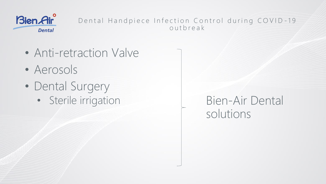

#### Dental Handpiece Infection Control during COVID-19 outbreak

- Anti-retraction Valve
- Aerosols
- Dental Surgery
	- Sterile irrigation Bien-Air Dental

solutions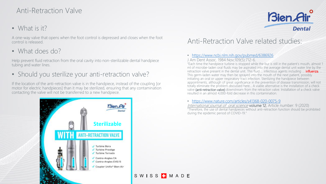# Anti-Retraction Valve

• What is it?

A one-way valve that opens when the foot control is depressed and closes when the foot control is released.

• What does do?

Help prevent fluid retraction from the oral cavity into non-sterilizable dental handpiece tubing and water lines.

• Should you sterilize your anti-retraction valve?

If the location of the anti-retraction valve is in the handpiece, instead of the coupling [or motor for electric handpieces] than it may be sterilized, ensuring that any contamination contacting the valve will not be transferred to a new handpiece.



# **Bien Air Dental**

### Anti-Retraction Valve related studies:

#### • <https://www.ncbi.nlm.nih.gov/pubmed/6386926>

J Am Dent Assoc. 1984 Nov;109(5):712-6.

SWISS TMADE

"Each time the handpiece turbine is stopped while the bur is still in the patient's mouth, almost 1 ml of microbe-laden oral fluids may be aspirated into the average dental unit water line by the retraction valve present in the dental unit. This fluid ... infectious agents including ... **influenza**, .. This germ-laden water may then be sprayed into the mouth of the next patient, possibly initiating an oral or upper respiratory tract infection. Sterilizing the handpiece between appointments, although of great significance in the prevention of disease transmission, will not totally eliminate the problem discussed here… A viable alternative is the installation of a check valve (anti-retraction valve) downstream from the retraction valve. Installation of a check valve resulted in an almost 4,000-fold decrease in this contamination.

• <https://www.nature.com/articles/s41368-020-0075-9>

International journal of oral science volume 12, Article number: 9 (2020) "Therefore, the use of dental handpieces without anti-retraction function should be prohibited during the epidemic period of COVID-19."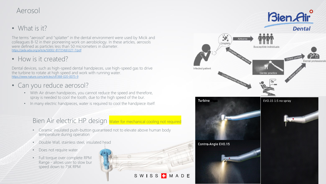### Aerosol

• What is it?

The terms "aerosol" and "splatter" in the dental environment were used by Micik and colleagues 8-12 in their pioneering work on aerobiology. In these articles, aerosols were defined as particles less than 50 micrometers in diameter. [https://jada.ada.org/article/S0002-8177\(14\)61227-7/pdf](https://jada.ada.org/article/S0002-8177(14)61227-7/pdf)

• How is it created?

Dental devices, such as high-speed dental handpieces, use high-speed gas to drive the turbine to rotate at high speed and work with running water. <https://www.nature.com/articles/s41368-020-0075-9>

- Can you reduce aerosol?
	- With Air driven handpieces, you cannot reduce the speed and therefore, spray is needed to cool the tooth, due to the high speed of the bur.
	- In many electric handpieces, water is required to cool the handpiece itself.

#### Bien Air electric HP design Water for mechanical cooling not required

- Ceramic insulated push-button guaranteed not to elevate above human body temperature during operation
- Double Wall, stainless steel, insulated head
- Does not require water
- Full torque over complete RPM Range - allows user to slow bur speed down to 75K RPM





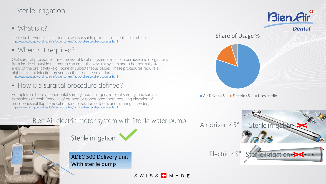# Sterile Irrigation

• What is it?

sterile bulb syringe, sterile single-use disposable products, or sterilizable tubing <https://www.cdc.gov/oralhealth/infectioncontrol/faqs/oral-surgical-procedures.html>

• When is it required?

Oral surgical procedures raise the risk of local or systemic infection because microorganisms from inside or outside the mouth can enter the vascular system and other normally sterile areas of the oral cavity (e.g., bone or subcutaneous tissue). These procedures require a higher level of infection prevention than routine procedures. <https://www.cdc.gov/oralhealth/infectioncontrol/faqs/oral-surgical-procedures.html>

• How is a surgical procedure defined?

Examples are biopsy, periodontal surgery, apical surgery, implant surgery, and surgical extractions of teeth (removal of erupted or nonerupted tooth requiring elevation of mucoperiosteal flap, removal of bone or section of tooth, and suturing if needed) <https://www.cdc.gov/oralhealth/infectioncontrol/faqs/oral-surgical-procedures.html>



ADEC 500 Delivery unit With sterile pump

SWISS<sup>T</sup>MADE



Share of Usage %

Air Driven 45 **Electric 45** Uses sterile

Sterile irriga

Sterile inrigation

Electric 45°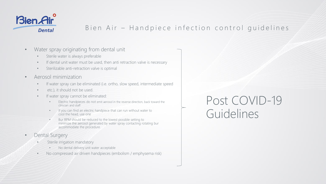

### Bien Air - Handpiece infection control guidelines

- Water spray originating from dental unit
	- Sterile water is always preferable
	- If dental unit water must be used, then anti retraction valve is necessary
	- Sterilizable anti-retraction valve is optimal
- Aerosol minimization
	- If water spray can be eliminated (i.e. ortho, slow speed, intermediate speed
	- etc.), it should not be used.
	- If water spray cannot be eliminated:
		- Electric handpieces do not emit aerosol in the reverse direction, back toward the clinician and staff
		- If you can find an electric handpiece that can run without water to cool the head, use one
		- Bur RPM should be reduced to the lowest possible setting to minimize the aerosol generated by water spray contacting rotating bur accommodate the procedure.
- Dental Surgery
	- Sterile irrigation mandatory
		- No dental delivery unit water acceptable
	- No compressed air driven handpieces (embolism / emphysema risk)

Post COVID-19 Guidelines